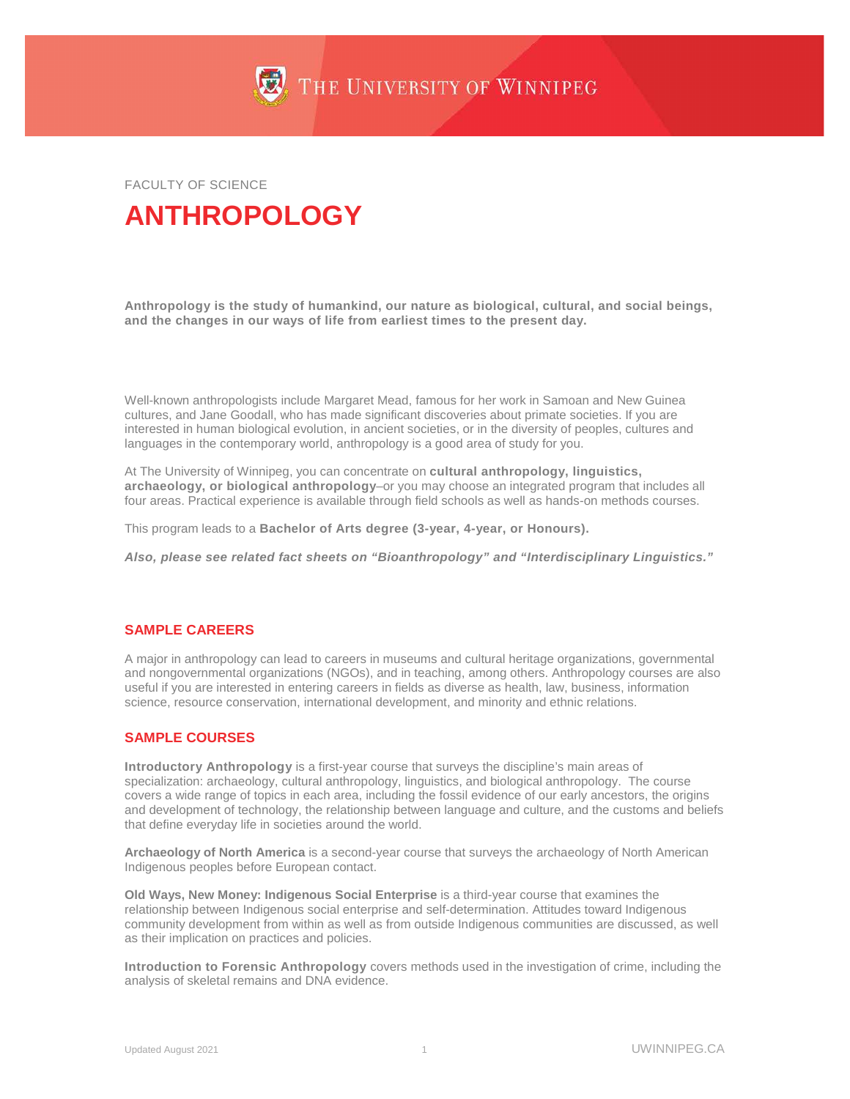

FACULTY OF SCIENCE

# **ANTHROPOLOGY**

**Anthropology is the study of humankind, our nature as biological, cultural, and social beings, and the changes in our ways of life from earliest times to the present day.**

Well-known anthropologists include Margaret Mead, famous for her work in Samoan and New Guinea cultures, and Jane Goodall, who has made significant discoveries about primate societies. If you are interested in human biological evolution, in ancient societies, or in the diversity of peoples, cultures and languages in the contemporary world, anthropology is a good area of study for you.

At The University of Winnipeg, you can concentrate on **cultural anthropology, linguistics, archaeology, or biological anthropology**–or you may choose an integrated program that includes all four areas. Practical experience is available through field schools as well as hands-on methods courses.

This program leads to a **Bachelor of Arts degree (3-year, 4-year, or Honours).**

*Also, please see related fact sheets on "Bioanthropology" and "Interdisciplinary Linguistics."*

## **SAMPLE CAREERS**

A major in anthropology can lead to careers in museums and cultural heritage organizations, governmental and nongovernmental organizations (NGOs), and in teaching, among others. Anthropology courses are also useful if you are interested in entering careers in fields as diverse as health, law, business, information science, resource conservation, international development, and minority and ethnic relations.

#### **SAMPLE COURSES**

**Introductory Anthropology** is a first-year course that surveys the discipline's main areas of specialization: archaeology, cultural anthropology, linguistics, and biological anthropology. The course covers a wide range of topics in each area, including the fossil evidence of our early ancestors, the origins and development of technology, the relationship between language and culture, and the customs and beliefs that define everyday life in societies around the world.

**Archaeology of North America** is a second-year course that surveys the archaeology of North American Indigenous peoples before European contact.

**Old Ways, New Money: Indigenous Social Enterprise** is a third-year course that examines the relationship between Indigenous social enterprise and self-determination. Attitudes toward Indigenous community development from within as well as from outside Indigenous communities are discussed, as well as their implication on practices and policies.

**Introduction to Forensic Anthropology** covers methods used in the investigation of crime, including the analysis of skeletal remains and DNA evidence.